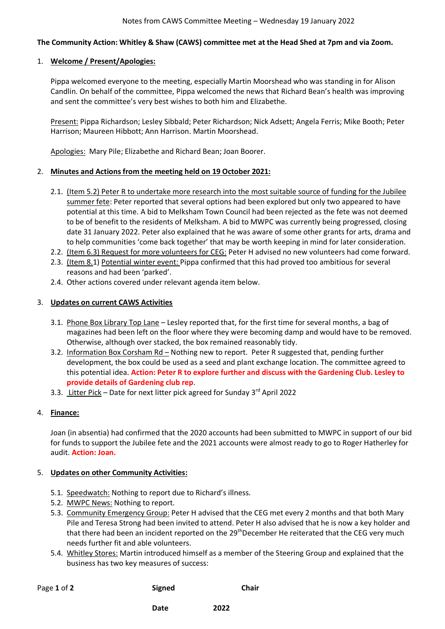## **The Community Action: Whitley & Shaw (CAWS) committee met at the Head Shed at 7pm and via Zoom.**

#### 1. **Welcome / Present/Apologies:**

Pippa welcomed everyone to the meeting, especially Martin Moorshead who was standing in for Alison Candlin. On behalf of the committee, Pippa welcomed the news that Richard Bean's health was improving and sent the committee's very best wishes to both him and Elizabethe.

Present: Pippa Richardson; Lesley Sibbald; Peter Richardson; Nick Adsett; Angela Ferris; Mike Booth; Peter Harrison; Maureen Hibbott; Ann Harrison. Martin Moorshead.

Apologies: Mary Pile; Elizabethe and Richard Bean; Joan Boorer.

### 2. **Minutes and Actions from the meeting held on 19 October 2021:**

- 2.1. (Item 5.2) Peter R to undertake more research into the most suitable source of funding for the Jubilee summer fete: Peter reported that several options had been explored but only two appeared to have potential at this time. A bid to Melksham Town Council had been rejected as the fete was not deemed to be of benefit to the residents of Melksham. A bid to MWPC was currently being progressed, closing date 31 January 2022. Peter also explained that he was aware of some other grants for arts, drama and to help communities 'come back together' that may be worth keeping in mind for later consideration.
- 2.2. (Item 6.3) Request for more volunteers for CEG: Peter H advised no new volunteers had come forward.
- 2.3. (Item 8.1) Potential winter event: Pippa confirmed that this had proved too ambitious for several reasons and had been 'parked'.
- 2.4. Other actions covered under relevant agenda item below.

#### 3. **Updates on current CAWS Activities**

- 3.1. Phone Box Library Top Lane Lesley reported that, for the first time for several months, a bag of magazines had been left on the floor where they were becoming damp and would have to be removed. Otherwise, although over stacked, the box remained reasonably tidy.
- 3.2. Information Box Corsham Rd Nothing new to report. Peter R suggested that, pending further development, the box could be used as a seed and plant exchange location. The committee agreed to this potential idea. **Action: Peter R to explore further and discuss with the Gardening Club. Lesley to provide details of Gardening club rep**.
- 3.3. Litter Pick Date for next litter pick agreed for Sunday  $3^{rd}$  April 2022

# 4. **Finance:**

Joan (in absentia) had confirmed that the 2020 accounts had been submitted to MWPC in support of our bid for funds to support the Jubilee fete and the 2021 accounts were almost ready to go to Roger Hatherley for audit. **Action: Joan.** 

#### 5. **Updates on other Community Activities:**

- 5.1. Speedwatch: Nothing to report due to Richard's illness.
- 5.2. MWPC News: Nothing to report.
- 5.3. Community Emergency Group: Peter H advised that the CEG met every 2 months and that both Mary Pile and Teresa Strong had been invited to attend. Peter H also advised that he is now a key holder and that there had been an incident reported on the 29<sup>th</sup>December He reiterated that the CEG very much needs further fit and able volunteers.
- 5.4. Whitley Stores: Martin introduced himself as a member of the Steering Group and explained that the business has two key measures of success:

| Page 1 of 2 | <b>Signed</b> | Chair |
|-------------|---------------|-------|
|             |               |       |

**Date** 2022